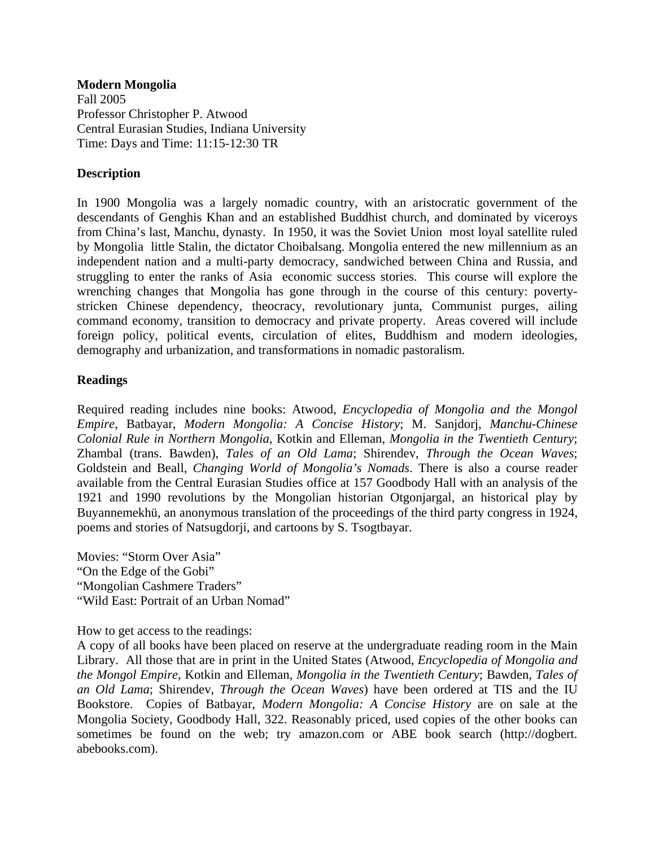**Modern Mongolia**  Fall 2005 Professor Christopher P. Atwood Central Eurasian Studies, Indiana University Time: Days and Time: 11:15-12:30 TR

# **Description**

In 1900 Mongolia was a largely nomadic country, with an aristocratic government of the descendants of Genghis Khan and an established Buddhist church, and dominated by viceroys from China's last, Manchu, dynasty. In 1950, it was the Soviet Union most loyal satellite ruled by Mongolia little Stalin, the dictator Choibalsang. Mongolia entered the new millennium as an independent nation and a multi-party democracy, sandwiched between China and Russia, and struggling to enter the ranks of Asia economic success stories. This course will explore the wrenching changes that Mongolia has gone through in the course of this century: povertystricken Chinese dependency, theocracy, revolutionary junta, Communist purges, ailing command economy, transition to democracy and private property. Areas covered will include foreign policy, political events, circulation of elites, Buddhism and modern ideologies, demography and urbanization, and transformations in nomadic pastoralism.

# **Readings**

Required reading includes nine books: Atwood, *Encyclopedia of Mongolia and the Mongol Empire*, Batbayar, *Modern Mongolia: A Concise History*; M. Sanjdorj*, Manchu-Chinese Colonial Rule in Northern Mongolia*, Kotkin and Elleman, *Mongolia in the Twentieth Century*; Zhambal (trans. Bawden), *Tales of an Old Lama*; Shirendev, *Through the Ocean Waves*; Goldstein and Beall, *Changing World of Mongolia's Nomads*. There is also a course reader available from the Central Eurasian Studies office at 157 Goodbody Hall with an analysis of the 1921 and 1990 revolutions by the Mongolian historian Otgonjargal, an historical play by Buyannemekhü, an anonymous translation of the proceedings of the third party congress in 1924, poems and stories of Natsugdorji, and cartoons by S. Tsogtbayar.

Movies: "Storm Over Asia" "On the Edge of the Gobi" "Mongolian Cashmere Traders" "Wild East: Portrait of an Urban Nomad"

How to get access to the readings:

A copy of all books have been placed on reserve at the undergraduate reading room in the Main Library. All those that are in print in the United States (Atwood, *Encyclopedia of Mongolia and the Mongol Empire*, Kotkin and Elleman, *Mongolia in the Twentieth Century*; Bawden, *Tales of an Old Lama*; Shirendev, *Through the Ocean Waves*) have been ordered at TIS and the IU Bookstore. Copies of Batbayar, *Modern Mongolia: A Concise History* are on sale at the Mongolia Society, Goodbody Hall, 322. Reasonably priced, used copies of the other books can sometimes be found on the web; try amazon.com or ABE book search (http://dogbert. abebooks.com).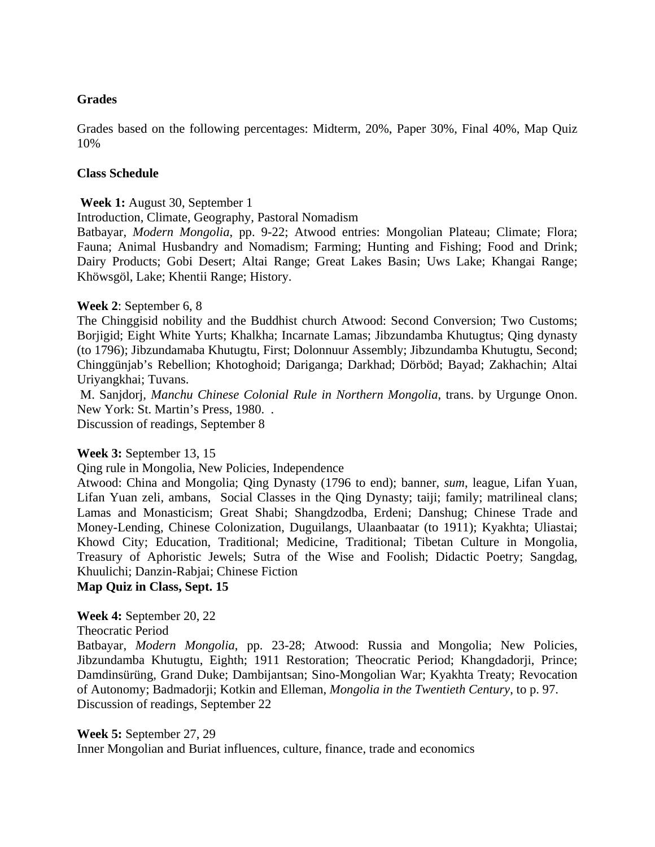## **Grades**

Grades based on the following percentages: Midterm, 20%, Paper 30%, Final 40%, Map Quiz 10%

#### **Class Schedule**

**Week 1:** August 30, September 1

Introduction, Climate, Geography, Pastoral Nomadism

Batbayar, *Modern Mongolia*, pp. 9-22; Atwood entries: Mongolian Plateau; Climate; Flora; Fauna; Animal Husbandry and Nomadism; Farming; Hunting and Fishing; Food and Drink; Dairy Products; Gobi Desert; Altai Range; Great Lakes Basin; Uws Lake; Khangai Range; Khöwsgöl, Lake; Khentii Range; History.

### **Week 2**: September 6, 8

The Chinggisid nobility and the Buddhist church Atwood: Second Conversion; Two Customs; Borjigid; Eight White Yurts; Khalkha; Incarnate Lamas; Jibzundamba Khutugtus; Qing dynasty (to 1796); Jibzundamaba Khutugtu, First; Dolonnuur Assembly; Jibzundamba Khutugtu, Second; Chinggünjab's Rebellion; Khotoghoid; Dariganga; Darkhad; Dörböd; Bayad; Zakhachin; Altai Uriyangkhai; Tuvans.

 M. Sanjdorj*, Manchu Chinese Colonial Rule in Northern Mongolia*, trans. by Urgunge Onon. New York: St. Martin's Press, 1980. .

Discussion of readings, September 8

# **Week 3:** September 13, 15

Qing rule in Mongolia, New Policies, Independence

Atwood: China and Mongolia; Qing Dynasty (1796 to end); banner, *sum*, league, Lifan Yuan, Lifan Yuan zeli, ambans, Social Classes in the Qing Dynasty; taiji; family; matrilineal clans; Lamas and Monasticism; Great Shabi; Shangdzodba, Erdeni; Danshug; Chinese Trade and Money-Lending, Chinese Colonization, Duguilangs, Ulaanbaatar (to 1911); Kyakhta; Uliastai; Khowd City; Education, Traditional; Medicine, Traditional; Tibetan Culture in Mongolia, Treasury of Aphoristic Jewels; Sutra of the Wise and Foolish; Didactic Poetry; Sangdag, Khuulichi; Danzin-Rabjai; Chinese Fiction

**Map Quiz in Class, Sept. 15** 

**Week 4:** September 20, 22

Theocratic Period

Batbayar, *Modern Mongolia*, pp. 23-28; Atwood: Russia and Mongolia; New Policies, Jibzundamba Khutugtu, Eighth; 1911 Restoration; Theocratic Period; Khangdadorji, Prince; Damdinsürüng, Grand Duke; Dambijantsan; Sino-Mongolian War; Kyakhta Treaty; Revocation of Autonomy; Badmadorji; Kotkin and Elleman, *Mongolia in the Twentieth Century*, to p. 97. Discussion of readings, September 22

#### **Week 5:** September 27, 29

Inner Mongolian and Buriat influences, culture, finance, trade and economics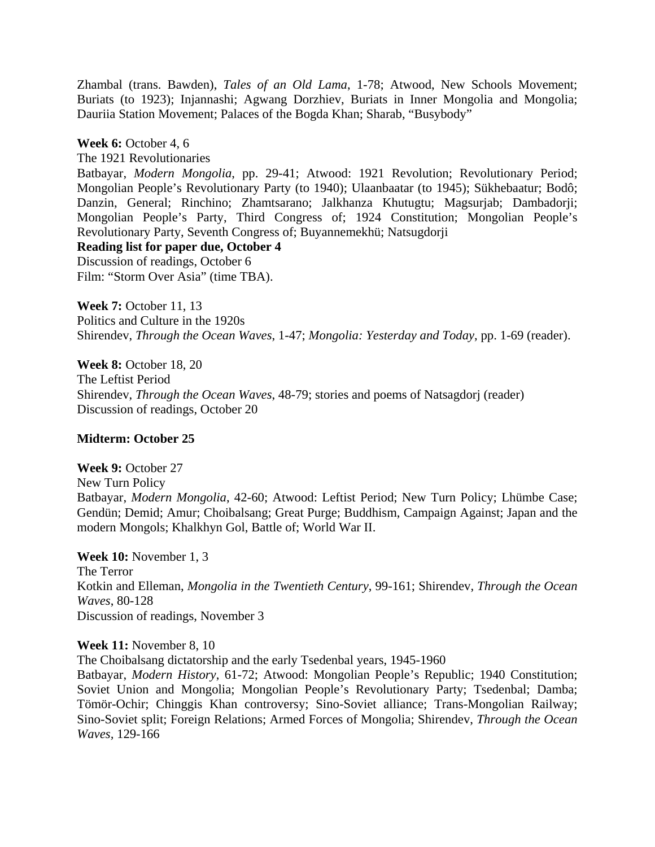Zhambal (trans. Bawden), *Tales of an Old Lama*, 1-78; Atwood, New Schools Movement; Buriats (to 1923); Injannashi; Agwang Dorzhiev, Buriats in Inner Mongolia and Mongolia; Dauriia Station Movement; Palaces of the Bogda Khan; Sharab, "Busybody"

## **Week 6:** October 4, 6

The 1921 Revolutionaries

Batbayar, *Modern Mongolia*, pp. 29-41; Atwood: 1921 Revolution; Revolutionary Period; Mongolian People's Revolutionary Party (to 1940); Ulaanbaatar (to 1945); Sükhebaatur; Bodô; Danzin, General; Rinchino; Zhamtsarano; Jalkhanza Khutugtu; Magsurjab; Dambadorji; Mongolian People's Party, Third Congress of; 1924 Constitution; Mongolian People's Revolutionary Party, Seventh Congress of; Buyannemekhü; Natsugdorji

# **Reading list for paper due, October 4**

Discussion of readings, October 6 Film: "Storm Over Asia" (time TBA).

**Week 7:** October 11, 13 Politics and Culture in the 1920s Shirendev, *Through the Ocean Waves*, 1-47; *Mongolia: Yesterday and Today*, pp. 1-69 (reader).

**Week 8:** October 18, 20 The Leftist Period Shirendev, *Through the Ocean Waves*, 48-79; stories and poems of Natsagdorj (reader) Discussion of readings, October 20

# **Midterm: October 25**

**Week 9:** October 27 New Turn Policy Batbayar, *Modern Mongolia*, 42-60; Atwood: Leftist Period; New Turn Policy; Lhümbe Case; Gendün; Demid; Amur; Choibalsang; Great Purge; Buddhism, Campaign Against; Japan and the modern Mongols; Khalkhyn Gol, Battle of; World War II.

**Week 10:** November 1, 3 The Terror Kotkin and Elleman, *Mongolia in the Twentieth Century*, 99-161; Shirendev, *Through the Ocean Waves*, 80-128 Discussion of readings, November 3

**Week 11:** November 8, 10

The Choibalsang dictatorship and the early Tsedenbal years, 1945-1960

Batbayar, *Modern History*, 61-72; Atwood: Mongolian People's Republic; 1940 Constitution; Soviet Union and Mongolia; Mongolian People's Revolutionary Party; Tsedenbal; Damba; Tömör-Ochir; Chinggis Khan controversy; Sino-Soviet alliance; Trans-Mongolian Railway; Sino-Soviet split; Foreign Relations; Armed Forces of Mongolia; Shirendev, *Through the Ocean Waves,* 129-166